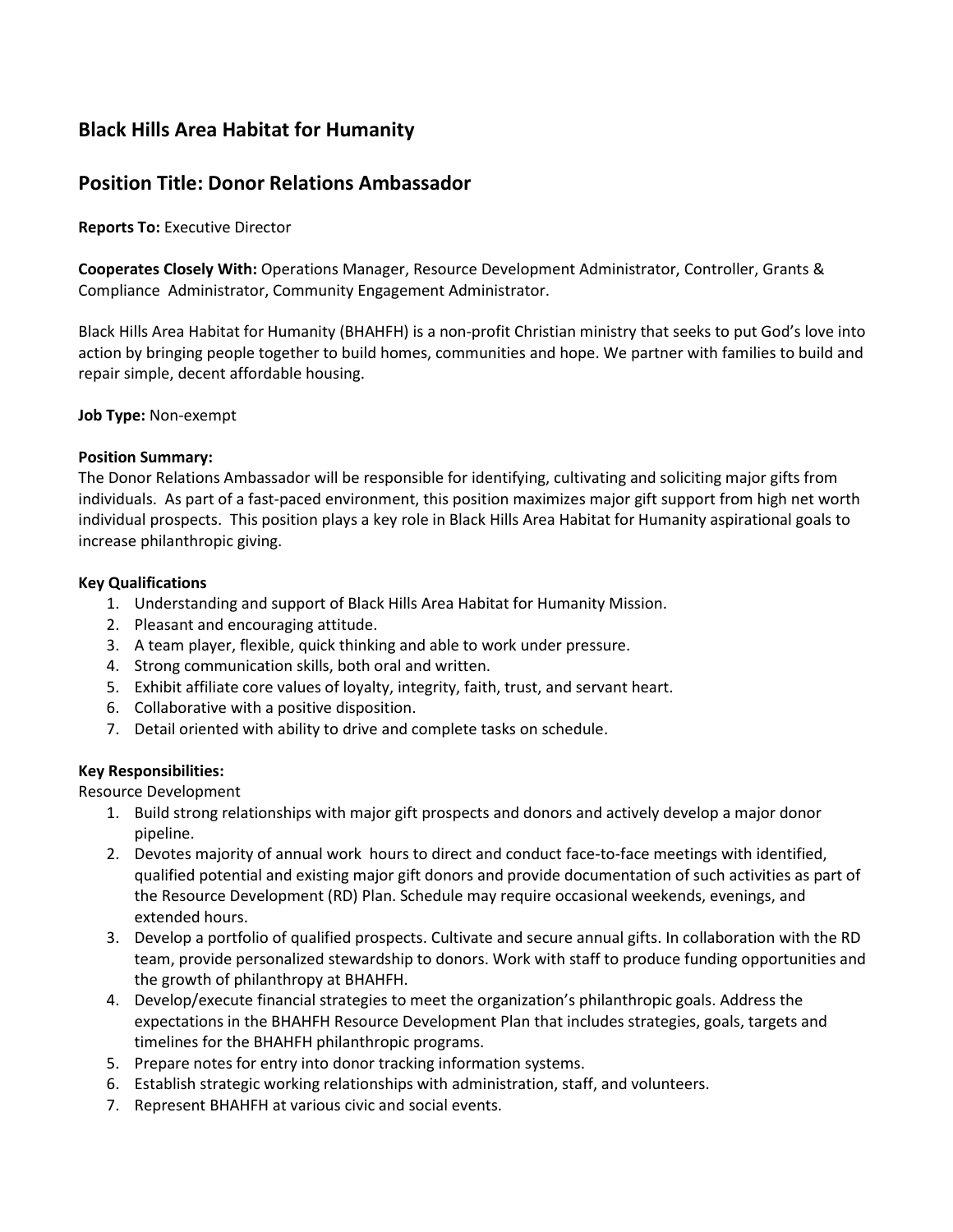# **Black Hills Area Habitat for Humanity**

# **Position Title: Donor Relations Ambassador**

**Reports To:** Executive Director

**Cooperates Closely With:** Operations Manager, Resource Development Administrator, Controller, Grants & Compliance Administrator, Community Engagement Administrator.

Black Hills Area Habitat for Humanity (BHAHFH) is a non-profit Christian ministry that seeks to put God's love into action by bringing people together to build homes, communities and hope. We partner with families to build and repair simple, decent affordable housing.

### **Job Type:** Non-exempt

### **Position Summary:**

The Donor Relations Ambassador will be responsible for identifying, cultivating and soliciting major gifts from individuals. As part of a fast-paced environment, this position maximizes major gift support from high net worth individual prospects. This position plays a key role in Black Hills Area Habitat for Humanity aspirational goals to increase philanthropic giving.

#### **Key Qualifications**

- 1. Understanding and support of Black Hills Area Habitat for Humanity Mission.
- 2. Pleasant and encouraging attitude.
- 3. A team player, flexible, quick thinking and able to work under pressure.
- 4. Strong communication skills, both oral and written.
- 5. Exhibit affiliate core values of loyalty, integrity, faith, trust, and servant heart.
- 6. Collaborative with a positive disposition.
- 7. Detail oriented with ability to drive and complete tasks on schedule.

### **Key Responsibilities:**

Resource Development

- 1. Build strong relationships with major gift prospects and donors and actively develop a major donor pipeline.
- 2. Devotes majority of annual work hours to direct and conduct face-to-face meetings with identified, qualified potential and existing major gift donors and provide documentation of such activities as part of the Resource Development (RD) Plan. Schedule may require occasional weekends, evenings, and extended hours.
- 3. Develop a portfolio of qualified prospects. Cultivate and secure annual gifts. In collaboration with the RD team, provide personalized stewardship to donors. Work with staff to produce funding opportunities and the growth of philanthropy at BHAHFH.
- 4. Develop/execute financial strategies to meet the organization's philanthropic goals. Address the expectations in the BHAHFH Resource Development Plan that includes strategies, goals, targets and timelines for the BHAHFH philanthropic programs.
- 5. Prepare notes for entry into donor tracking information systems.
- 6. Establish strategic working relationships with administration, staff, and volunteers.
- 7. Represent BHAHFH at various civic and social events.